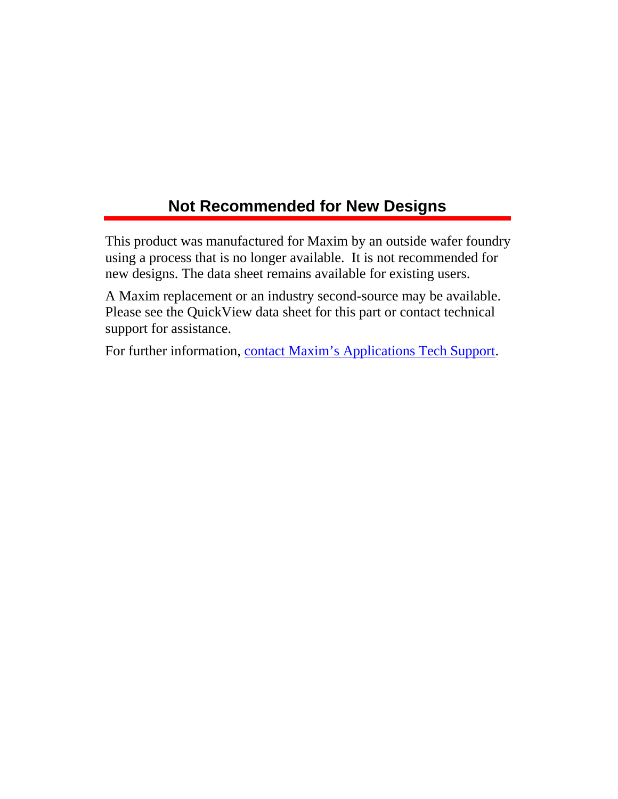# **Not Recommended for New Designs**

This product was manufactured for Maxim by an outside wafer foundry using a process that is no longer available. It is not recommended for new designs. The data sheet remains available for existing users.

A Maxim replacement or an industry second-source may be available. Please see the QuickView data sheet for this part or contact technical support for assistance.

For further information, [contact Maxim's Applications Tech Support.](http://www.maxim-ic.com/support/request/new.mvp)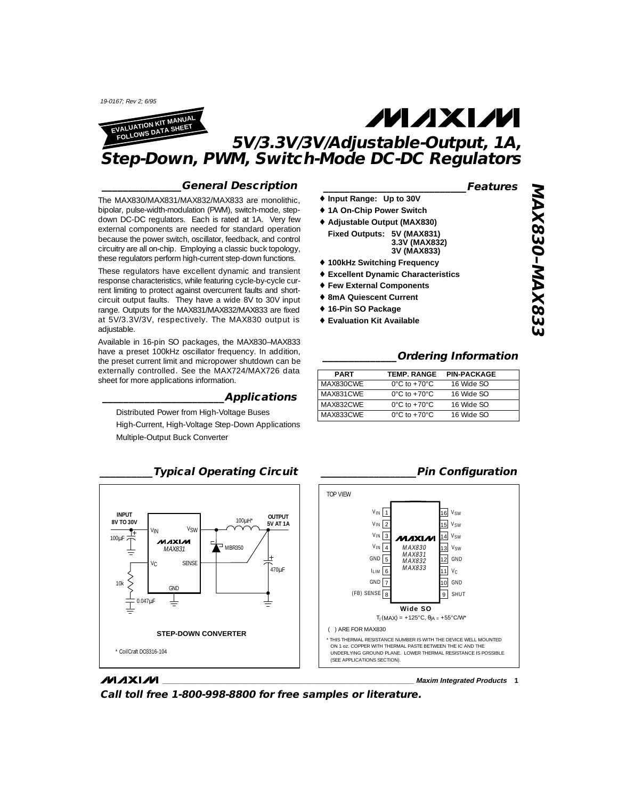19-0167; Rev 2; 6/95

**MAXIM** 



# **MAXIM 5V/3.3V/3V/Adjustable-Output, 1A, Step-Down, PWM, Switch-Mode DC-DC Regulators**

### **\_\_\_\_\_\_\_\_\_\_\_\_\_\_\_General Description**

The MAX830/MAX831/MAX832/MAX833 are monolithic, bipolar, pulse-width-modulation (PWM), switch-mode, stepdown DC-DC regulators. Each is rated at 1A. Very few external components are needed for standard operation because the power switch, oscillator, feedback, and control circuitry are all on-chip. Employing a classic buck topology, these regulators perform high-current step-down functions.

These regulators have excellent dynamic and transient response characteristics, while featuring cycle-by-cycle current limiting to protect against overcurrent faults and shortcircuit output faults. They have a wide 8V to 30V input range. Outputs for the MAX831/MAX832/MAX833 are fixed at 5V/3.3V/3V, respectively. The MAX830 output is adjustable.

Available in 16-pin SO packages, the MAX830–MAX833 have a preset 100kHz oscillator frequency. In addition, the preset current limit and micropower shutdown can be externally controlled. See the MAX724/MAX726 data sheet for more applications information.

### **\_\_\_\_\_\_\_\_\_\_\_\_\_\_\_\_\_\_\_\_\_\_\_Applications**

Distributed Power from High-Voltage Buses

High-Current, High-Voltage Step-Down Applications Multiple-Output Buck Converter



## **\_\_\_\_\_\_\_\_\_\_\_\_\_\_\_\_\_\_\_\_\_\_\_\_\_\_\_Features**

- ♦ **Input Range: Up to 30V**
- ♦ **1A On-Chip Power Switch** ♦ **Adjustable Output (MAX830)**
- **Fixed Outputs: 5V (MAX831) 3.3V (MAX832) 3V (MAX833)**
- ♦ **100kHz Switching Frequency**
- ♦ **Excellent Dynamic Characteristics**
- ♦ **Few External Components**
- ♦ **8mA Quiescent Current**
- ♦ **16-Pin SO Package**
- ♦ **Evaluation Kit Available**

## **\_\_\_\_\_\_\_\_\_\_\_\_\_\_Ordering Information**

| <b>PART</b> | <b>TEMP. RANGE</b>                 | <b>PIN-PACKAGE</b> |
|-------------|------------------------------------|--------------------|
| MAX830CWF   | $0^{\circ}$ C to +70 $^{\circ}$ C  | 16 Wide SO         |
| MAX831CWF   | $0^{\circ}$ C to +70 $^{\circ}$ C  | 16 Wide SO         |
| MAX832CWF   | $0^{\circ}$ C to +70 $^{\circ}$ C  | 16 Wide SO         |
| MAX833CWF   | $0^{\circ}$ C to +70 $^{\circ}$ C. | 16 Wide SO         |

## **\_\_\_\_\_\_\_\_\_\_\_\_\_\_\_\_\_\_Pin Configuration**



**\_\_\_\_\_\_\_\_\_\_\_\_\_\_\_\_\_\_\_\_\_\_\_\_\_\_\_\_\_\_\_\_\_\_\_\_\_\_\_\_\_\_\_\_\_\_\_\_\_\_\_\_\_\_\_\_\_\_\_\_\_\_\_\_ Maxim Integrated Products 1**

**Call toll free 1-800-998-8800 for free samples or literature.**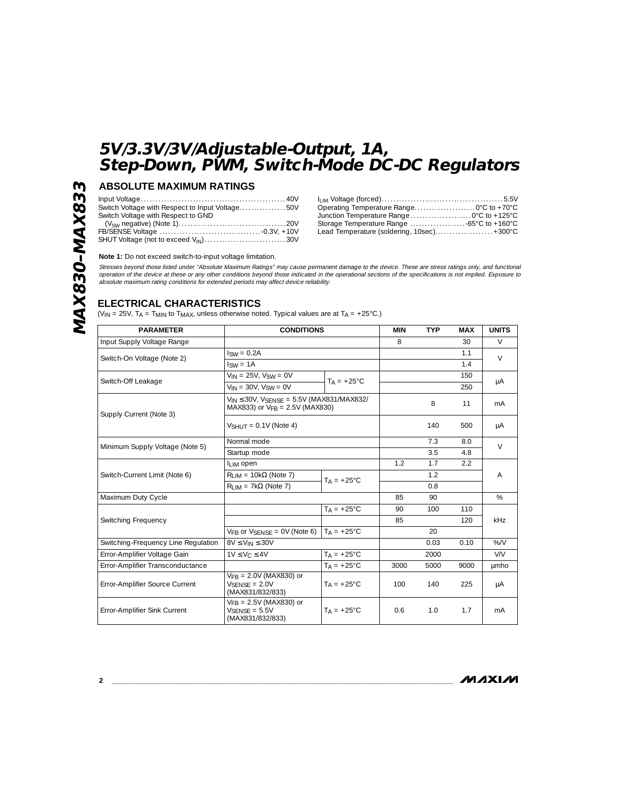## **ABSOLUTE MAXIMUM RATINGS**

| Switch Voltage with Respect to Input Voltage50V  |
|--------------------------------------------------|
| Switch Voltage with Respect to GND               |
|                                                  |
|                                                  |
| SHUT Voltage (not to exceed V <sub>IN</sub> )30V |

| Junction Temperature Range0°C to +125°C    |  |
|--------------------------------------------|--|
|                                            |  |
| Lead Temperature (soldering, 10sec) +300°C |  |

#### **Note 1:** Do not exceed switch-to-input voltage limitation.

Stresses beyond those listed under "Absolute Maximum Ratings" may cause permanent damage to the device. These are stress ratings only, and functional<br>operation of the device at these or any other conditions beyond those in

### **ELECTRICAL CHARACTERISTICS**

(V<sub>IN</sub> = 25V, T<sub>A</sub> = T<sub>MIN</sub> to T<sub>MAX</sub>, unless otherwise noted. Typical values are at T<sub>A</sub> = +25°C.)

| <b>PARAMETER</b>                    | <b>CONDITIONS</b>                                                                                    |                      | <b>MIN</b> | <b>TYP</b> | <b>MAX</b> | <b>UNITS</b>   |
|-------------------------------------|------------------------------------------------------------------------------------------------------|----------------------|------------|------------|------------|----------------|
| Input Supply Voltage Range          |                                                                                                      |                      | 8          |            | 30         | V              |
| Switch-On Voltage (Note 2)          | $\text{Isw} = 0.2\text{A}$                                                                           |                      |            |            | 1.1        | $\vee$         |
|                                     | $Isw = 1A$                                                                                           |                      |            |            | 1.4        |                |
| Switch-Off Leakage                  | $V_{IN} = 25V$ , $V_{SW} = 0V$                                                                       |                      |            |            | 150        |                |
|                                     | $V_{IN} = 30V$ , $V_{SW} = 0V$                                                                       | $TA = +25^{\circ}C$  |            |            | 250        | μA             |
| Supply Current (Note 3)             | $V_{IN} \leq 30V$ , $V_{SENSF} = 5.5V$ (MAX831/MAX832/<br>MAX833) or V <sub>FB</sub> = 2.5V (MAX830) |                      |            | 8          | 11         | mA             |
|                                     | $V_{SHIIT} = 0.1V$ (Note 4)                                                                          |                      |            | 140        | 500        | μA             |
| Minimum Supply Voltage (Note 5)     | Normal mode                                                                                          |                      |            | 7.3        | 8.0        | $\vee$         |
|                                     | Startup mode                                                                                         |                      |            | 3.5        | 4.8        |                |
|                                     | I <sub>LIM</sub> open                                                                                |                      | 1.2        | 1.7        | 2.2        |                |
| Switch-Current Limit (Note 6)       | $R_{I,IM}$ = 10k $\Omega$ (Note 7)                                                                   | $T_A = +25^{\circ}C$ |            | 1.2        |            | $\overline{A}$ |
|                                     | $R1$ $M = 7k\Omega$ (Note 7)                                                                         |                      |            | 0.8        |            |                |
| Maximum Duty Cycle                  |                                                                                                      |                      | 85         | 90         |            | $\%$           |
|                                     |                                                                                                      | $T_A = +25^{\circ}C$ | 90         | 100        | 110        |                |
| Switching Frequency                 |                                                                                                      |                      | 85         |            | 120        | <b>kHz</b>     |
|                                     | $VFR$ or $VSFNSF = OV$ (Note 6)                                                                      | $Ta = +25^{\circ}C$  |            | 20         |            |                |
| Switching-Frequency Line Regulation | $8V \leq V_{IN} \leq 30V$                                                                            |                      |            | 0.03       | 0.10       | %N             |
| Error-Amplifier Voltage Gain        | $1V \leq V_C \leq 4V$                                                                                | $TA = +25^{\circ}C$  |            | 2000       |            | V/V            |
| Error-Amplifier Transconductance    |                                                                                                      | $TA = +25^{\circ}C$  | 3000       | 5000       | 9000       | umho           |
| Error-Amplifier Source Current      | $VFB = 2.0V$ (MAX830) or<br>$V_{SFNSF} = 2.0V$<br>(MAX831/832/833)                                   | $T_A = +25^{\circ}C$ | 100        | 140        | 225        | μA             |
| Error-Amplifier Sink Current        | $V_{FR}$ = 2.5V (MAX830) or<br>$VSENSF = 5.5V$<br>(MAX831/832/833)                                   | $Ta = +25^{\circ}C$  | 0.6        | 1.0        | 1.7        | mA             |

**2 \_\_\_\_\_\_\_\_\_\_\_\_\_\_\_\_\_\_\_\_\_\_\_\_\_\_\_\_\_\_\_\_\_\_\_\_\_\_\_\_\_\_\_\_\_\_\_\_\_\_\_\_\_\_\_\_\_\_\_\_\_\_\_\_\_\_\_\_\_\_\_\_\_\_\_\_\_\_\_\_\_\_\_\_\_\_\_**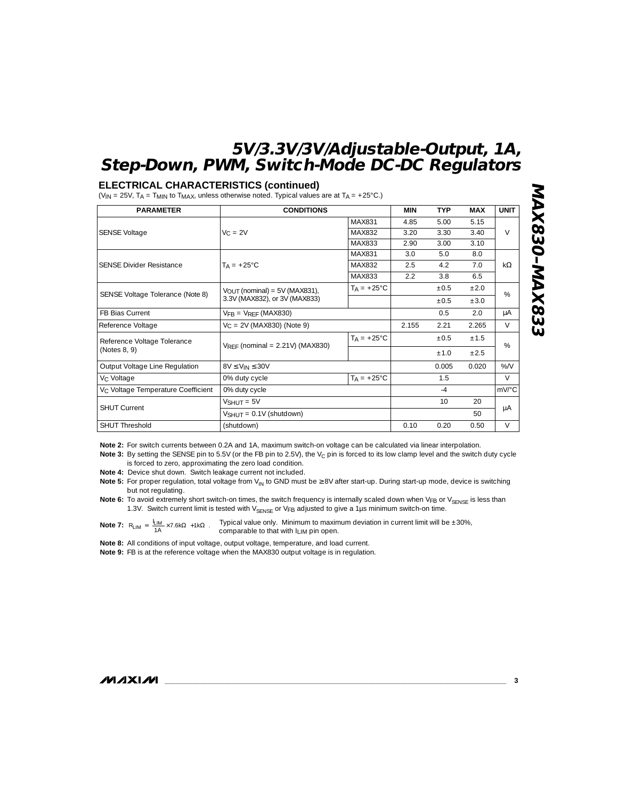#### **ELECTRICAL CHARACTERISTICS (continued)**

(V<sub>IN</sub> = 25V, T<sub>A</sub> = T<sub>MIN</sub> to T<sub>MAX</sub>, unless otherwise noted. Typical values are at T<sub>A</sub> = +25°C.)

| <b>PARAMETER</b>                               | <b>CONDITIONS</b>                                                          |                      | <b>MIN</b> | <b>TYP</b> | <b>MAX</b> | <b>UNIT</b> |
|------------------------------------------------|----------------------------------------------------------------------------|----------------------|------------|------------|------------|-------------|
|                                                |                                                                            | MAX831               | 4.85       | 5.00       | 5.15       |             |
| <b>SENSE Voltage</b>                           | $V_C = 2V$                                                                 | MAX832               | 3.20       | 3.30       | 3.40       | $\vee$      |
|                                                |                                                                            | MAX833               | 2.90       | 3.00       | 3.10       |             |
|                                                | $T_A = +25^{\circ}C$                                                       | MAX831               | 3.0        | 5.0        | 8.0        | $k\Omega$   |
| <b>SENSE Divider Resistance</b>                |                                                                            | MAX832               | 2.5        | 4.2        | 7.0        |             |
|                                                |                                                                            | MAX833               | 2.2        | 3.8        | 6.5        |             |
| SENSE Voltage Tolerance (Note 8)               | $V_{\text{OUT}}$ (nominal) = 5V (MAX831),<br>3.3V (MAX832), or 3V (MAX833) | $T_A = +25^{\circ}C$ |            | $\pm 0.5$  | ±2.0       | $\%$        |
|                                                |                                                                            |                      |            | $+0.5$     | $+3.0$     |             |
| <b>FB Bias Current</b>                         | $V_{FR}$ = $V_{RFF}$ (MAX830)                                              |                      |            | 0.5        | 2.0        | μA          |
| Reference Voltage                              | $V_C = 2V$ (MAX830) (Note 9)                                               |                      | 2.155      | 2.21       | 2.265      | $\vee$      |
| Reference Voltage Tolerance                    |                                                                            | $Ta = +25^{\circ}C$  |            | $+0.5$     | $+1.5$     | %           |
| (Notes 8, 9)                                   | $V_{RFF}$ (nominal = 2.21V) (MAX830)                                       |                      |            | $+1.0$     | $+2.5$     |             |
| Output Voltage Line Regulation                 | $8V \leq V_{IN} \leq 30V$                                                  |                      |            | 0.005      | 0.020      | %N          |
| V <sub>C</sub> Voltage                         | $T_A = +25^{\circ}C$<br>0% duty cycle                                      |                      |            | 1.5        |            | $\vee$      |
| V <sub>C</sub> Voltage Temperature Coefficient | 0% duty cycle                                                              |                      | $-4$       |            | mV/°C      |             |
|                                                | $VSHUIT = 5V$                                                              |                      |            | 10         | 20         |             |
| <b>SHUT Current</b>                            | $V_{SHUT} = 0.1V$ (shutdown)                                               |                      |            |            | 50         | μA          |
| <b>SHUT Threshold</b>                          | (shutdown)                                                                 | 0.10                 | 0.20       | 0.50       | $\vee$     |             |

**Note 2:** For switch currents between 0.2A and 1A, maximum switch-on voltage can be calculated via linear interpolation.

Note 3: By setting the SENSE pin to 5.5V (or the FB pin to 2.5V), the V<sub>C</sub> pin is forced to its low clamp level and the switch duty cycle is forced to zero, approximating the zero load condition.

**Note 4:** Device shut down. Switch leakage current not included.

Note 5: For proper regulation, total voltage from V<sub>IN</sub> to GND must be ≥ 8V after start-up. During start-up mode, device is switching but not regulating.

Note 6: To avoid extremely short switch-on times, the switch frequency is internally scaled down when VFB or V<sub>SENSE</sub> is less than 1.3V. Switch current limit is tested with  $V_{SENSE}$  or VFB adjusted to give a 1µs minimum switch-on time.

**Note 7:**  $R_{\text{LIM}} = \left[ \frac{I_{\text{LIM}}}{1 \text{A}} \times 7.6 \text{k}\Omega \right] + 1 \text{k}\Omega$ . Typical value only. Minimum to maximum deviation in current limit will be  $\pm 30\%$ , comparable to that with ILIM pin open.

**Note 8:** All conditions of input voltage, output voltage, temperature, and load current.

**Note 9:** FB is at the reference voltage when the MAX830 output voltage is in regulation.

**MAXIM** 

**\_\_\_\_\_\_\_\_\_\_\_\_\_\_\_\_\_\_\_\_\_\_\_\_\_\_\_\_\_\_\_\_\_\_\_\_\_\_\_\_\_\_\_\_\_\_\_\_\_\_\_\_\_\_\_\_\_\_\_\_\_\_\_\_\_\_\_\_\_\_\_\_\_\_\_\_\_\_\_\_\_\_\_\_\_\_\_ 3**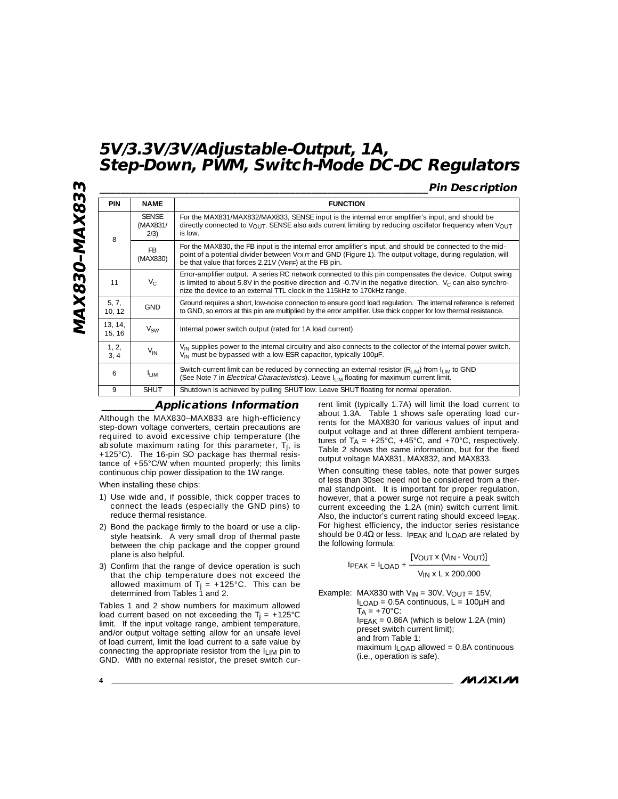## **\_\_\_\_\_\_\_\_\_\_\_\_\_\_\_\_\_\_\_\_\_\_\_\_\_\_\_\_\_\_\_\_\_\_\_\_\_\_\_\_\_\_\_\_\_\_\_\_\_\_\_\_\_\_\_\_\_\_\_\_\_\_Pin Description**

| <b>PIN</b>        | <b>NAME</b>                                                                                                                                                                                                                                                                                                     | <b>FUNCTION</b>                                                                                                                                                                                                                                                                              |  |  |
|-------------------|-----------------------------------------------------------------------------------------------------------------------------------------------------------------------------------------------------------------------------------------------------------------------------------------------------------------|----------------------------------------------------------------------------------------------------------------------------------------------------------------------------------------------------------------------------------------------------------------------------------------------|--|--|
| 8                 | <b>SENSE</b><br>(MAX831/<br>2/3)                                                                                                                                                                                                                                                                                | For the MAX831/MAX832/MAX833, SENSE input is the internal error amplifier's input, and should be<br>directly connected to $V_{OUT}$ . SENSE also aids current limiting by reducing oscillator frequency when $V_{OUT}$<br>is low.                                                            |  |  |
|                   | F <sub>B</sub><br>(MAX830)                                                                                                                                                                                                                                                                                      | For the MAX830, the FB input is the internal error amplifier's input, and should be connected to the mid-<br>point of a potential divider between VOUT and GND (Figure 1). The output voltage, during regulation, will<br>be that value that forces 2.21V (V <sub>RFF</sub> ) at the FB pin. |  |  |
| 11                | Error-amplifier output. A series RC network connected to this pin compensates the device. Output swing<br>$V_{C}$<br>is limited to about 5.8V in the positive direction and -0.7V in the negative direction. $V_C$ can also synchro-<br>nize the device to an external TTL clock in the 115kHz to 170kHz range. |                                                                                                                                                                                                                                                                                              |  |  |
| 5, 7,<br>10, 12   | Ground requires a short, low-noise connection to ensure good load requlation. The internal reference is referred<br><b>GND</b><br>to GND, so errors at this pin are multiplied by the error amplifier. Use thick copper for low thermal resistance.                                                             |                                                                                                                                                                                                                                                                                              |  |  |
| 13, 14,<br>15, 16 | $V_{SW}$                                                                                                                                                                                                                                                                                                        | Internal power switch output (rated for 1A load current)                                                                                                                                                                                                                                     |  |  |
| 1, 2,<br>3, 4     | $V_{IN}$                                                                                                                                                                                                                                                                                                        | V <sub>IN</sub> supplies power to the internal circuitry and also connects to the collector of the internal power switch.<br>V <sub>IN</sub> must be bypassed with a low-ESR capacitor, typically 100µF.                                                                                     |  |  |
| 6                 | l <sub>l IM</sub>                                                                                                                                                                                                                                                                                               | Switch-current limit can be reduced by connecting an external resistor $(R_{LM})$ from $I_{LM}$ to GND<br>(See Note 7 in <i>Electrical Characteristics</i> ). Leave I <sub>LIM</sub> floating for maximum current limit.                                                                     |  |  |
| 9                 | <b>SHUT</b>                                                                                                                                                                                                                                                                                                     | Shutdown is achieved by pulling SHUT low. Leave SHUT floating for normal operation.                                                                                                                                                                                                          |  |  |

### **\_\_\_\_\_\_\_\_\_\_Applications Information**

Although the MAX830–MAX833 are high-efficiency step-down voltage converters, certain precautions are required to avoid excessive chip temperature (the absolute maximum rating for this parameter, Tj, is +125°C). The 16-pin SO package has thermal resistance of +55°C/W when mounted properly; this limits continuous chip power dissipation to the 1W range.

When installing these chips:

- 1) Use wide and, if possible, thick copper traces to connect the leads (especially the GND pins) to reduce thermal resistance.
- 2) Bond the package firmly to the board or use a clipstyle heatsink. A very small drop of thermal paste between the chip package and the copper ground plane is also helpful.
- 3) Confirm that the range of device operation is such that the chip temperature does not exceed the allowed maximum of  $T_i = +125^{\circ}$ C. This can be determined from Tables 1 and 2.

Tables 1 and 2 show numbers for maximum allowed load current based on not exceeding the  $Ti = +125^{\circ}C$ limit. If the input voltage range, ambient temperature, and/or output voltage setting allow for an unsafe level of load current, limit the load current to a safe value by connecting the appropriate resistor from the ILIM pin to GND. With no external resistor, the preset switch cur-

rent limit (typically 1.7A) will limit the load current to about 1.3A. Table 1 shows safe operating load currents for the MAX830 for various values of input and output voltage and at three different ambient temperatures of  $TA = +25^{\circ}C$ ,  $+45^{\circ}C$ , and  $+70^{\circ}C$ , respectively. Table 2 shows the same information, but for the fixed output voltage MAX831, MAX832, and MAX833.

When consulting these tables, note that power surges of less than 30sec need not be considered from a thermal standpoint. It is important for proper regulation, however, that a power surge not require a peak switch current exceeding the 1.2A (min) switch current limit. Also, the inductor's current rating should exceed IPEAK. For highest efficiency, the inductor series resistance should be  $0.4\Omega$  or less. IPEAK and ILOAD are related by the following formula:

> [VOUT x (VIN - VOUT)]  $IPEAK = I$ <sub>LOAD</sub> + -VIN x L x 200,000

Example: MAX830 with  $V_{IN} = 30V$ ,  $V_{OUT} = 15V$ ,  $I$ LOAD = 0.5A continuous,  $L = 100$ µH and  $TA = +70^{\circ}C$ IPEAK = 0.86A (which is below 1.2A (min) preset switch current limit); and from Table 1: maximum ILOAD allowed = 0.8A continuous (i.e., operation is safe).

**4 \_\_\_\_\_\_\_\_\_\_\_\_\_\_\_\_\_\_\_\_\_\_\_\_\_\_\_\_\_\_\_\_\_\_\_\_\_\_\_\_\_\_\_\_\_\_\_\_\_\_\_\_\_\_\_\_\_\_\_\_\_\_\_\_\_\_\_\_\_\_\_\_\_\_\_\_\_\_\_\_\_\_\_\_\_\_\_**

**MAX830–MAX833**

**MAX830-MAX833**